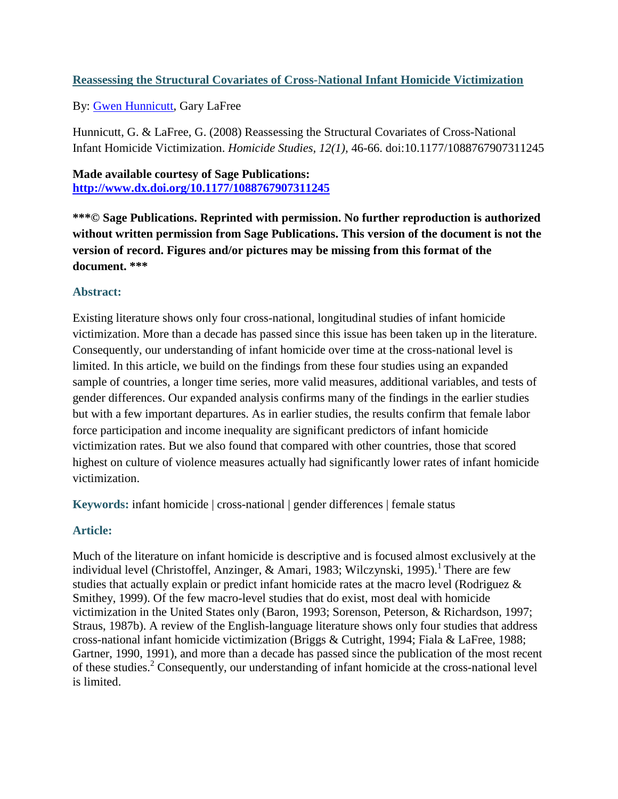## **Reassessing the Structural Covariates of Cross-National Infant Homicide Victimization**

## By: [Gwen Hunnicutt,](https://libres.uncg.edu/ir/uncg/clist.aspx?id=444) Gary LaFree

Hunnicutt, G. & LaFree, G. (2008) Reassessing the Structural Covariates of Cross-National Infant Homicide Victimization. *Homicide Studies, 12(1),* 46-66. doi:10.1177/1088767907311245

## **Made available courtesy of Sage Publications: <http://www.dx.doi.org/10.1177/1088767907311245>**

**\*\*\*© Sage Publications. Reprinted with permission. No further reproduction is authorized without written permission from Sage Publications. This version of the document is not the version of record. Figures and/or pictures may be missing from this format of the document. \*\*\***

## **Abstract:**

Existing literature shows only four cross-national, longitudinal studies of infant homicide victimization. More than a decade has passed since this issue has been taken up in the literature. Consequently, our understanding of infant homicide over time at the cross-national level is limited. In this article, we build on the findings from these four studies using an expanded sample of countries, a longer time series, more valid measures, additional variables, and tests of gender differences. Our expanded analysis confirms many of the findings in the earlier studies but with a few important departures. As in earlier studies, the results confirm that female labor force participation and income inequality are significant predictors of infant homicide victimization rates. But we also found that compared with other countries, those that scored highest on culture of violence measures actually had significantly lower rates of infant homicide victimization.

**Keywords:** infant homicide | cross-national | gender differences | female status

# **Article:**

Much of the literature on infant homicide is descriptive and is focused almost exclusively at the individual level (Christoffel, Anzinger, & Amari, 1983; Wilczynski, 1995).<sup>1</sup> There are few studies that actually explain or predict infant homicide rates at the macro level (Rodriguez & Smithey, 1999). Of the few macro-level studies that do exist, most deal with homicide victimization in the United States only (Baron, 1993; Sorenson, Peterson, & Richardson, 1997; Straus, 1987b). A review of the English-language literature shows only four studies that address cross-national infant homicide victimization (Briggs & Cutright, 1994; Fiala & LaFree, 1988; Gartner, 1990, 1991), and more than a decade has passed since the publication of the most recent of these studies.<sup>2</sup> Consequently, our understanding of infant homicide at the cross-national level is limited.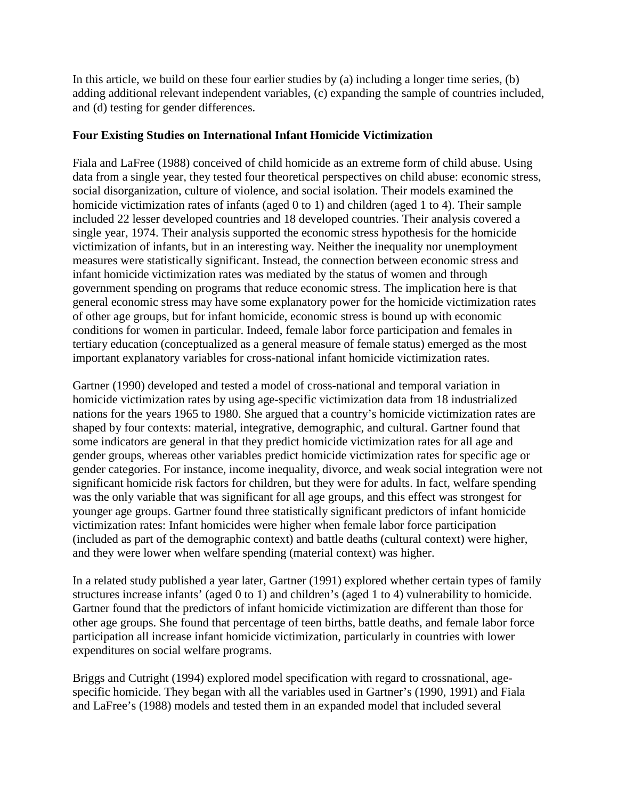In this article, we build on these four earlier studies by (a) including a longer time series, (b) adding additional relevant independent variables, (c) expanding the sample of countries included, and (d) testing for gender differences.

## **Four Existing Studies on International Infant Homicide Victimization**

Fiala and LaFree (1988) conceived of child homicide as an extreme form of child abuse. Using data from a single year, they tested four theoretical perspectives on child abuse: economic stress, social disorganization, culture of violence, and social isolation. Their models examined the homicide victimization rates of infants (aged 0 to 1) and children (aged 1 to 4). Their sample included 22 lesser developed countries and 18 developed countries. Their analysis covered a single year, 1974. Their analysis supported the economic stress hypothesis for the homicide victimization of infants, but in an interesting way. Neither the inequality nor unemployment measures were statistically significant. Instead, the connection between economic stress and infant homicide victimization rates was mediated by the status of women and through government spending on programs that reduce economic stress. The implication here is that general economic stress may have some explanatory power for the homicide victimization rates of other age groups, but for infant homicide, economic stress is bound up with economic conditions for women in particular. Indeed, female labor force participation and females in tertiary education (conceptualized as a general measure of female status) emerged as the most important explanatory variables for cross-national infant homicide victimization rates.

Gartner (1990) developed and tested a model of cross-national and temporal variation in homicide victimization rates by using age-specific victimization data from 18 industrialized nations for the years 1965 to 1980. She argued that a country's homicide victimization rates are shaped by four contexts: material, integrative, demographic, and cultural. Gartner found that some indicators are general in that they predict homicide victimization rates for all age and gender groups, whereas other variables predict homicide victimization rates for specific age or gender categories. For instance, income inequality, divorce, and weak social integration were not significant homicide risk factors for children, but they were for adults. In fact, welfare spending was the only variable that was significant for all age groups, and this effect was strongest for younger age groups. Gartner found three statistically significant predictors of infant homicide victimization rates: Infant homicides were higher when female labor force participation (included as part of the demographic context) and battle deaths (cultural context) were higher, and they were lower when welfare spending (material context) was higher.

In a related study published a year later, Gartner (1991) explored whether certain types of family structures increase infants' (aged 0 to 1) and children's (aged 1 to 4) vulnerability to homicide. Gartner found that the predictors of infant homicide victimization are different than those for other age groups. She found that percentage of teen births, battle deaths, and female labor force participation all increase infant homicide victimization, particularly in countries with lower expenditures on social welfare programs.

Briggs and Cutright (1994) explored model specification with regard to crossnational, agespecific homicide. They began with all the variables used in Gartner's (1990, 1991) and Fiala and LaFree's (1988) models and tested them in an expanded model that included several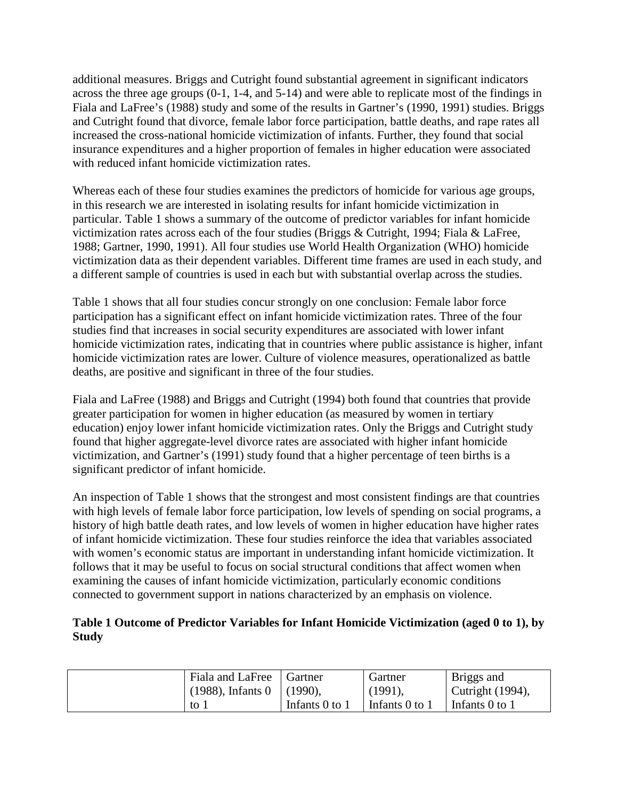additional measures. Briggs and Cutright found substantial agreement in significant indicators across the three age groups (0-1, 1-4, and 5-14) and were able to replicate most of the findings in Fiala and LaFree's (1988) study and some of the results in Gartner's (1990, 1991) studies. Briggs and Cutright found that divorce, female labor force participation, battle deaths, and rape rates all increased the cross-national homicide victimization of infants. Further, they found that social insurance expenditures and a higher proportion of females in higher education were associated with reduced infant homicide victimization rates.

Whereas each of these four studies examines the predictors of homicide for various age groups, in this research we are interested in isolating results for infant homicide victimization in particular. Table 1 shows a summary of the outcome of predictor variables for infant homicide victimization rates across each of the four studies (Briggs & Cutright, 1994; Fiala & LaFree, 1988; Gartner, 1990, 1991). All four studies use World Health Organization (WHO) homicide victimization data as their dependent variables. Different time frames are used in each study, and a different sample of countries is used in each but with substantial overlap across the studies.

Table 1 shows that all four studies concur strongly on one conclusion: Female labor force participation has a significant effect on infant homicide victimization rates. Three of the four studies find that increases in social security expenditures are associated with lower infant homicide victimization rates, indicating that in countries where public assistance is higher, infant homicide victimization rates are lower. Culture of violence measures, operationalized as battle deaths, are positive and significant in three of the four studies.

Fiala and LaFree (1988) and Briggs and Cutright (1994) both found that countries that provide greater participation for women in higher education (as measured by women in tertiary education) enjoy lower infant homicide victimization rates. Only the Briggs and Cutright study found that higher aggregate-level divorce rates are associated with higher infant homicide victimization, and Gartner's (1991) study found that a higher percentage of teen births is a significant predictor of infant homicide.

An inspection of Table 1 shows that the strongest and most consistent findings are that countries with high levels of female labor force participation, low levels of spending on social programs, a history of high battle death rates, and low levels of women in higher education have higher rates of infant homicide victimization. These four studies reinforce the idea that variables associated with women's economic status are important in understanding infant homicide victimization. It follows that it may be useful to focus on social structural conditions that affect women when examining the causes of infant homicide victimization, particularly economic conditions connected to government support in nations characterized by an emphasis on violence.

## **Table 1 Outcome of Predictor Variables for Infant Homicide Victimization (aged 0 to 1), by Study**

| Fiala and LaFree     | Gartner        | Gartner      | Briggs and          |
|----------------------|----------------|--------------|---------------------|
| $(1988)$ , Infants 0 | (1990),        | (1991),      | Cutright $(1994)$ , |
| to $\cdot$           | Infants 0 to 1 | Infants 0 to | Infants 0 to 1      |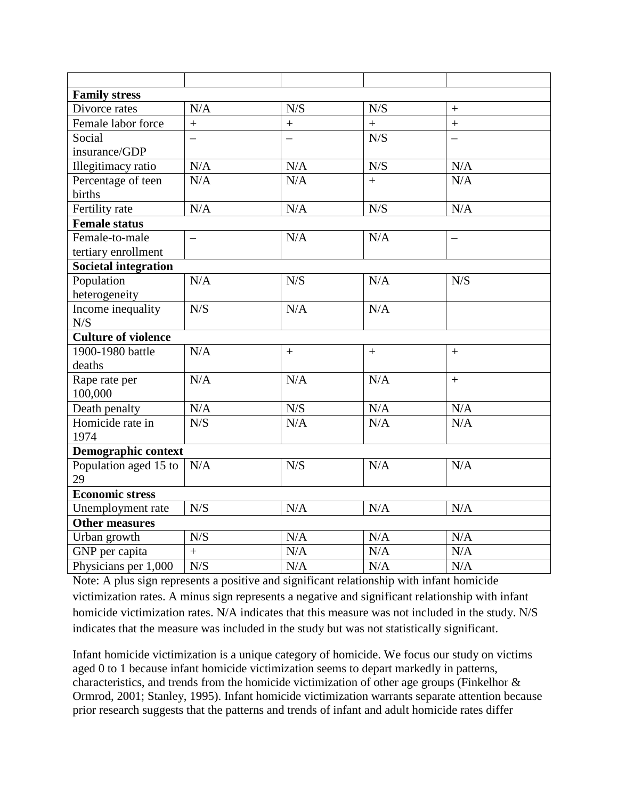| <b>Family stress</b>        |                  |                          |                  |                          |  |
|-----------------------------|------------------|--------------------------|------------------|--------------------------|--|
| Divorce rates               | N/A              | N/S                      | N/S              | $+$                      |  |
| Female labor force          | $\boldsymbol{+}$ | $\! + \!$                | $\boldsymbol{+}$ | $+$                      |  |
| Social                      | $\equiv$         | $\overline{\phantom{0}}$ | N/S              | $\equiv$                 |  |
| insurance/GDP               |                  |                          |                  |                          |  |
| Illegitimacy ratio          | N/A              | N/A                      | N/S              | N/A                      |  |
| Percentage of teen          | N/A              | N/A                      | $\ddot{}$        | N/A                      |  |
| births                      |                  |                          |                  |                          |  |
| Fertility rate              | N/A              | N/A                      | N/S              | N/A                      |  |
| <b>Female status</b>        |                  |                          |                  |                          |  |
| Female-to-male              | $\equiv$         | N/A                      | N/A              | $\overline{\phantom{0}}$ |  |
| tertiary enrollment         |                  |                          |                  |                          |  |
| <b>Societal integration</b> |                  |                          |                  |                          |  |
| Population                  | N/A              | N/S                      | N/A              | N/S                      |  |
| heterogeneity               |                  |                          |                  |                          |  |
| Income inequality           | N/S              | N/A                      | N/A              |                          |  |
| N/S                         |                  |                          |                  |                          |  |
| <b>Culture of violence</b>  |                  |                          |                  |                          |  |
| 1900-1980 battle            | N/A              | $+$                      | $\boldsymbol{+}$ | $+$                      |  |
| deaths                      |                  |                          |                  |                          |  |
| Rape rate per               | N/A              | N/A                      | N/A              | $+$                      |  |
| 100,000                     |                  |                          |                  |                          |  |
| Death penalty               | N/A              | N/S                      | N/A              | N/A                      |  |
| Homicide rate in            | N/S              | N/A                      | N/A              | N/A                      |  |
| 1974                        |                  |                          |                  |                          |  |
| Demographic context         |                  |                          |                  |                          |  |
| Population aged 15 to       | N/A              | N/S                      | N/A              | N/A                      |  |
| 29                          |                  |                          |                  |                          |  |
| <b>Economic stress</b>      |                  |                          |                  |                          |  |
| Unemployment rate           | N/S              | N/A                      | N/A              | N/A                      |  |
| <b>Other measures</b>       |                  |                          |                  |                          |  |
| Urban growth                | N/S              | N/A                      | N/A              | N/A                      |  |
| GNP per capita              | $\ddot{}$        | N/A                      | N/A              | N/A                      |  |
| Physicians per 1,000        | N/S              | N/A                      | N/A              | N/A                      |  |

Note: A plus sign represents a positive and significant relationship with infant homicide victimization rates. A minus sign represents a negative and significant relationship with infant homicide victimization rates. N/A indicates that this measure was not included in the study. N/S indicates that the measure was included in the study but was not statistically significant.

Infant homicide victimization is a unique category of homicide. We focus our study on victims aged 0 to 1 because infant homicide victimization seems to depart markedly in patterns, characteristics, and trends from the homicide victimization of other age groups (Finkelhor & Ormrod, 2001; Stanley, 1995). Infant homicide victimization warrants separate attention because prior research suggests that the patterns and trends of infant and adult homicide rates differ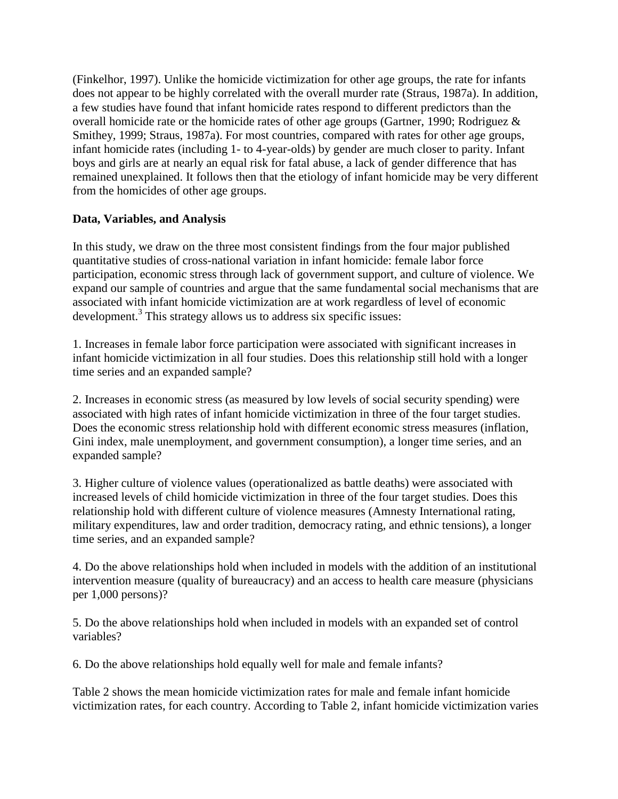(Finkelhor, 1997). Unlike the homicide victimization for other age groups, the rate for infants does not appear to be highly correlated with the overall murder rate (Straus, 1987a). In addition, a few studies have found that infant homicide rates respond to different predictors than the overall homicide rate or the homicide rates of other age groups (Gartner, 1990; Rodriguez & Smithey, 1999; Straus, 1987a). For most countries, compared with rates for other age groups, infant homicide rates (including 1- to 4-year-olds) by gender are much closer to parity. Infant boys and girls are at nearly an equal risk for fatal abuse, a lack of gender difference that has remained unexplained. It follows then that the etiology of infant homicide may be very different from the homicides of other age groups.

## **Data, Variables, and Analysis**

In this study, we draw on the three most consistent findings from the four major published quantitative studies of cross-national variation in infant homicide: female labor force participation, economic stress through lack of government support, and culture of violence. We expand our sample of countries and argue that the same fundamental social mechanisms that are associated with infant homicide victimization are at work regardless of level of economic development.<sup>3</sup> This strategy allows us to address six specific issues:

1. Increases in female labor force participation were associated with significant increases in infant homicide victimization in all four studies. Does this relationship still hold with a longer time series and an expanded sample?

2. Increases in economic stress (as measured by low levels of social security spending) were associated with high rates of infant homicide victimization in three of the four target studies. Does the economic stress relationship hold with different economic stress measures (inflation, Gini index, male unemployment, and government consumption), a longer time series, and an expanded sample?

3. Higher culture of violence values (operationalized as battle deaths) were associated with increased levels of child homicide victimization in three of the four target studies. Does this relationship hold with different culture of violence measures (Amnesty International rating, military expenditures, law and order tradition, democracy rating, and ethnic tensions), a longer time series, and an expanded sample?

4. Do the above relationships hold when included in models with the addition of an institutional intervention measure (quality of bureaucracy) and an access to health care measure (physicians per 1,000 persons)?

5. Do the above relationships hold when included in models with an expanded set of control variables?

6. Do the above relationships hold equally well for male and female infants?

Table 2 shows the mean homicide victimization rates for male and female infant homicide victimization rates, for each country. According to Table 2, infant homicide victimization varies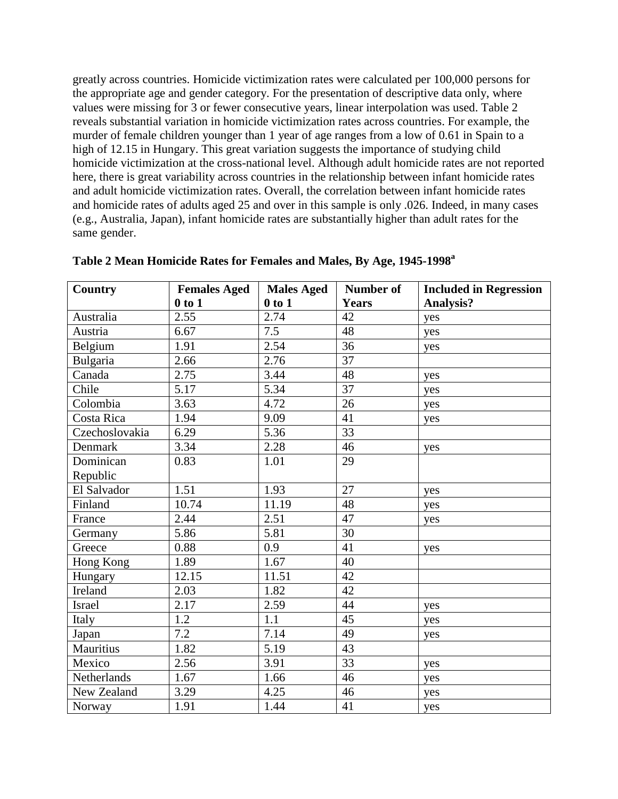greatly across countries. Homicide victimization rates were calculated per 100,000 persons for the appropriate age and gender category. For the presentation of descriptive data only, where values were missing for 3 or fewer consecutive years, linear interpolation was used. Table 2 reveals substantial variation in homicide victimization rates across countries. For example, the murder of female children younger than 1 year of age ranges from a low of 0.61 in Spain to a high of 12.15 in Hungary. This great variation suggests the importance of studying child homicide victimization at the cross-national level. Although adult homicide rates are not reported here, there is great variability across countries in the relationship between infant homicide rates and adult homicide victimization rates. Overall, the correlation between infant homicide rates and homicide rates of adults aged 25 and over in this sample is only .026. Indeed, in many cases (e.g., Australia, Japan), infant homicide rates are substantially higher than adult rates for the same gender.

| <b>Country</b> | <b>Females Aged</b> | <b>Males Aged</b> | Number of       | <b>Included in Regression</b> |  |  |
|----------------|---------------------|-------------------|-----------------|-------------------------------|--|--|
|                | $0$ to $1$          | $0$ to $1$        | <b>Years</b>    | Analysis?                     |  |  |
| Australia      | 2.55                | 2.74              | 42              | yes                           |  |  |
| Austria        | 6.67                | 7.5               | 48              | yes                           |  |  |
| Belgium        | 1.91                | 2.54              | 36              | yes                           |  |  |
| Bulgaria       | 2.66                | 2.76              | 37              |                               |  |  |
| Canada         | 2.75                | 3.44              | 48              | yes                           |  |  |
| Chile          | 5.17                | 5.34              | $\overline{37}$ | yes                           |  |  |
| Colombia       | 3.63                | 4.72              | 26              | yes                           |  |  |
| Costa Rica     | 1.94                | 9.09              | 41              | yes                           |  |  |
| Czechoslovakia | 6.29                | 5.36              | 33              |                               |  |  |
| Denmark        | 3.34                | 2.28              | 46              | yes                           |  |  |
| Dominican      | 0.83                | 1.01              | 29              |                               |  |  |
| Republic       |                     |                   |                 |                               |  |  |
| El Salvador    | 1.51                | 1.93              | 27              | yes                           |  |  |
| Finland        | 10.74               | 11.19             | 48              | yes                           |  |  |
| France         | 2.44                | 2.51              | 47              | yes                           |  |  |
| Germany        | 5.86                | 5.81              | 30              |                               |  |  |
| Greece         | 0.88                | 0.9               | 41              | yes                           |  |  |
| Hong Kong      | 1.89                | 1.67              | 40              |                               |  |  |
| Hungary        | 12.15               | 11.51             | 42              |                               |  |  |
| Ireland        | 2.03                | 1.82              | 42              |                               |  |  |
| <b>Israel</b>  | 2.17                | 2.59              | 44              | yes                           |  |  |
| Italy          | 1.2                 | 1.1               | 45              | yes                           |  |  |
| Japan          | 7.2                 | 7.14              | 49              | yes                           |  |  |
| Mauritius      | 1.82                | 5.19              | 43              |                               |  |  |
| Mexico         | 2.56                | 3.91              | 33              | yes                           |  |  |
| Netherlands    | 1.67                | 1.66              | 46              | yes                           |  |  |
| New Zealand    | 3.29                | 4.25              | 46              | yes                           |  |  |
| Norway         | 1.91                | 1.44              | 41              | yes                           |  |  |

#### **Table 2 Mean Homicide Rates for Females and Males, By Age, 1945-1998a**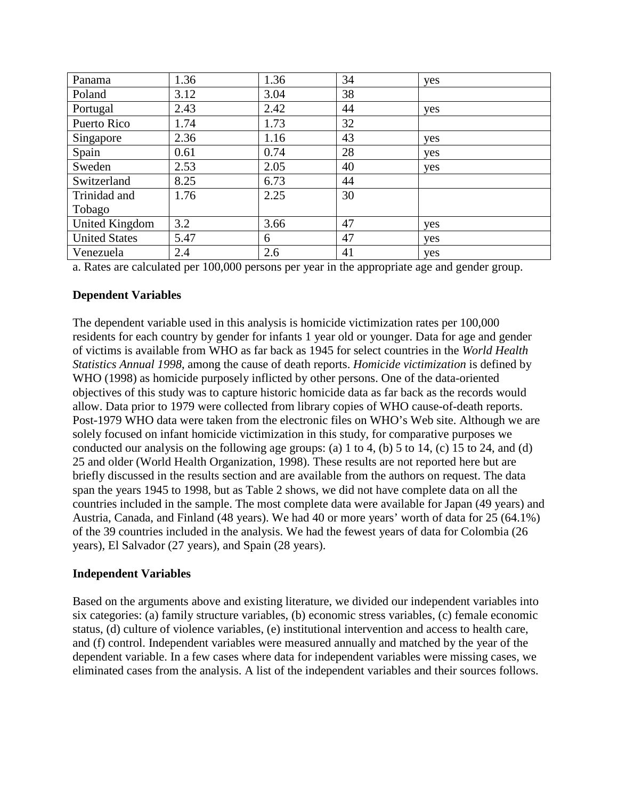| Panama               | 1.36 | 1.36 | 34 | yes |
|----------------------|------|------|----|-----|
| Poland               | 3.12 | 3.04 | 38 |     |
| Portugal             | 2.43 | 2.42 | 44 | yes |
| Puerto Rico          | 1.74 | 1.73 | 32 |     |
| Singapore            | 2.36 | 1.16 | 43 | yes |
| Spain                | 0.61 | 0.74 | 28 | yes |
| Sweden               | 2.53 | 2.05 | 40 | yes |
| Switzerland          | 8.25 | 6.73 | 44 |     |
| Trinidad and         | 1.76 | 2.25 | 30 |     |
| Tobago               |      |      |    |     |
| United Kingdom       | 3.2  | 3.66 | 47 | yes |
| <b>United States</b> | 5.47 | 6    | 47 | yes |
| Venezuela            | 2.4  | 2.6  | 41 | yes |

a. Rates are calculated per 100,000 persons per year in the appropriate age and gender group.

### **Dependent Variables**

The dependent variable used in this analysis is homicide victimization rates per 100,000 residents for each country by gender for infants 1 year old or younger. Data for age and gender of victims is available from WHO as far back as 1945 for select countries in the *World Health Statistics Annual 1998*, among the cause of death reports. *Homicide victimization* is defined by WHO (1998) as homicide purposely inflicted by other persons. One of the data-oriented objectives of this study was to capture historic homicide data as far back as the records would allow. Data prior to 1979 were collected from library copies of WHO cause-of-death reports. Post-1979 WHO data were taken from the electronic files on WHO's Web site. Although we are solely focused on infant homicide victimization in this study, for comparative purposes we conducted our analysis on the following age groups: (a) 1 to 4, (b) 5 to 14, (c) 15 to 24, and (d) 25 and older (World Health Organization, 1998). These results are not reported here but are briefly discussed in the results section and are available from the authors on request. The data span the years 1945 to 1998, but as Table 2 shows, we did not have complete data on all the countries included in the sample. The most complete data were available for Japan (49 years) and Austria, Canada, and Finland (48 years). We had 40 or more years' worth of data for 25 (64.1%) of the 39 countries included in the analysis. We had the fewest years of data for Colombia (26 years), El Salvador (27 years), and Spain (28 years).

## **Independent Variables**

Based on the arguments above and existing literature, we divided our independent variables into six categories: (a) family structure variables, (b) economic stress variables, (c) female economic status, (d) culture of violence variables, (e) institutional intervention and access to health care, and (f) control. Independent variables were measured annually and matched by the year of the dependent variable. In a few cases where data for independent variables were missing cases, we eliminated cases from the analysis. A list of the independent variables and their sources follows.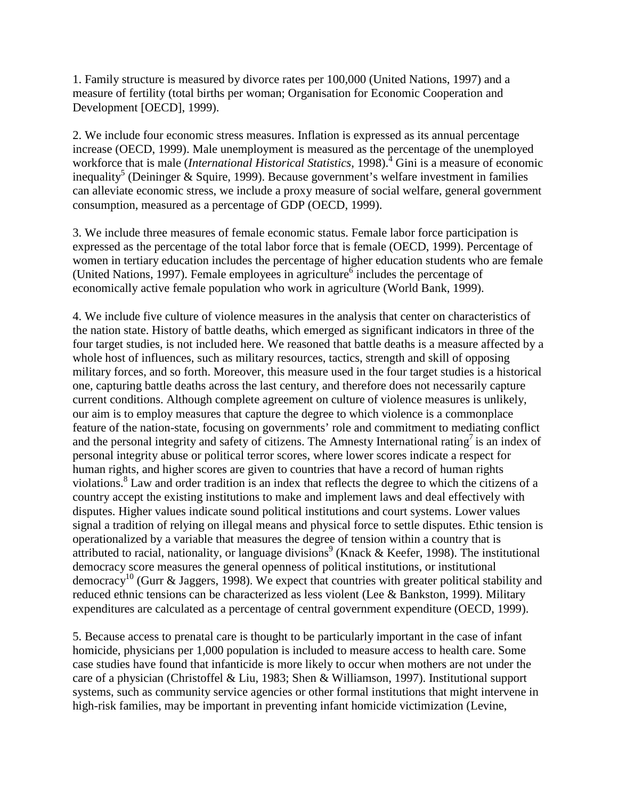1. Family structure is measured by divorce rates per 100,000 (United Nations, 1997) and a measure of fertility (total births per woman; Organisation for Economic Cooperation and Development [OECD], 1999).

2. We include four economic stress measures. Inflation is expressed as its annual percentage increase (OECD, 1999). Male unemployment is measured as the percentage of the unemployed workforce that is male *(International Historical Statistics*, 1998).<sup>4</sup> Gini is a measure of economic inequality<sup>5</sup> (Deininger & Squire, 1999). Because government's welfare investment in families can alleviate economic stress, we include a proxy measure of social welfare, general government consumption, measured as a percentage of GDP (OECD, 1999).

3. We include three measures of female economic status. Female labor force participation is expressed as the percentage of the total labor force that is female (OECD, 1999). Percentage of women in tertiary education includes the percentage of higher education students who are female (United Nations, 1997). Female employees in agriculture<sup>6</sup> includes the percentage of economically active female population who work in agriculture (World Bank, 1999).

4. We include five culture of violence measures in the analysis that center on characteristics of the nation state. History of battle deaths, which emerged as significant indicators in three of the four target studies, is not included here. We reasoned that battle deaths is a measure affected by a whole host of influences, such as military resources, tactics, strength and skill of opposing military forces, and so forth. Moreover, this measure used in the four target studies is a historical one, capturing battle deaths across the last century, and therefore does not necessarily capture current conditions. Although complete agreement on culture of violence measures is unlikely, our aim is to employ measures that capture the degree to which violence is a commonplace feature of the nation-state, focusing on governments' role and commitment to mediating conflict and the personal integrity and safety of citizens. The Amnesty International rating<sup>7</sup> is an index of personal integrity abuse or political terror scores, where lower scores indicate a respect for human rights, and higher scores are given to countries that have a record of human rights violations.<sup>8</sup> Law and order tradition is an index that reflects the degree to which the citizens of a country accept the existing institutions to make and implement laws and deal effectively with disputes. Higher values indicate sound political institutions and court systems. Lower values signal a tradition of relying on illegal means and physical force to settle disputes. Ethic tension is operationalized by a variable that measures the degree of tension within a country that is attributed to racial, nationality, or language divisions<sup>9</sup> (Knack & Keefer, 1998). The institutional democracy score measures the general openness of political institutions, or institutional democracy<sup>10</sup> (Gurr & Jaggers, 1998). We expect that countries with greater political stability and reduced ethnic tensions can be characterized as less violent (Lee & Bankston, 1999). Military expenditures are calculated as a percentage of central government expenditure (OECD, 1999).

5. Because access to prenatal care is thought to be particularly important in the case of infant homicide, physicians per 1,000 population is included to measure access to health care. Some case studies have found that infanticide is more likely to occur when mothers are not under the care of a physician (Christoffel & Liu, 1983; Shen & Williamson, 1997). Institutional support systems, such as community service agencies or other formal institutions that might intervene in high-risk families, may be important in preventing infant homicide victimization (Levine,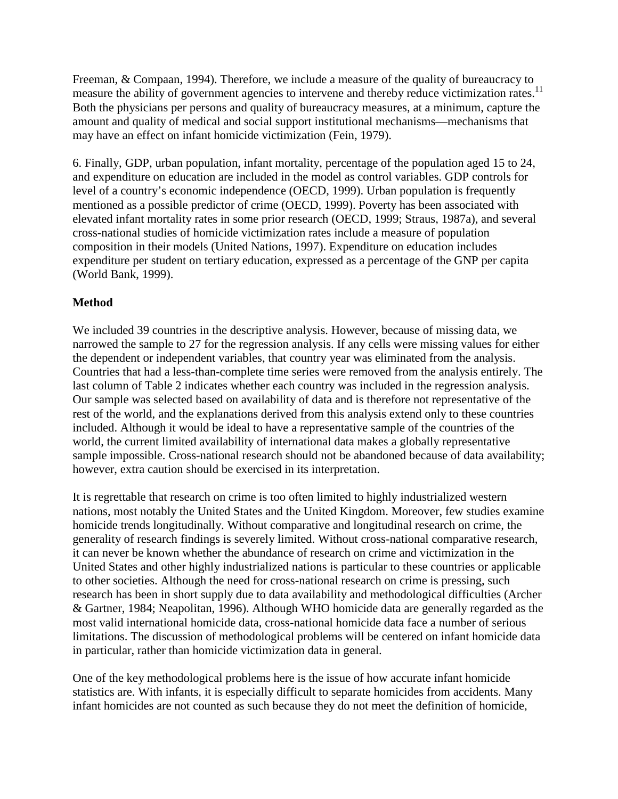Freeman, & Compaan, 1994). Therefore, we include a measure of the quality of bureaucracy to measure the ability of government agencies to intervene and thereby reduce victimization rates.<sup>11</sup> Both the physicians per persons and quality of bureaucracy measures, at a minimum, capture the amount and quality of medical and social support institutional mechanisms—mechanisms that may have an effect on infant homicide victimization (Fein, 1979).

6. Finally, GDP, urban population, infant mortality, percentage of the population aged 15 to 24, and expenditure on education are included in the model as control variables. GDP controls for level of a country's economic independence (OECD, 1999). Urban population is frequently mentioned as a possible predictor of crime (OECD, 1999). Poverty has been associated with elevated infant mortality rates in some prior research (OECD, 1999; Straus, 1987a), and several cross-national studies of homicide victimization rates include a measure of population composition in their models (United Nations, 1997). Expenditure on education includes expenditure per student on tertiary education, expressed as a percentage of the GNP per capita (World Bank, 1999).

## **Method**

We included 39 countries in the descriptive analysis. However, because of missing data, we narrowed the sample to 27 for the regression analysis. If any cells were missing values for either the dependent or independent variables, that country year was eliminated from the analysis. Countries that had a less-than-complete time series were removed from the analysis entirely. The last column of Table 2 indicates whether each country was included in the regression analysis. Our sample was selected based on availability of data and is therefore not representative of the rest of the world, and the explanations derived from this analysis extend only to these countries included. Although it would be ideal to have a representative sample of the countries of the world, the current limited availability of international data makes a globally representative sample impossible. Cross-national research should not be abandoned because of data availability; however, extra caution should be exercised in its interpretation.

It is regrettable that research on crime is too often limited to highly industrialized western nations, most notably the United States and the United Kingdom. Moreover, few studies examine homicide trends longitudinally. Without comparative and longitudinal research on crime, the generality of research findings is severely limited. Without cross-national comparative research, it can never be known whether the abundance of research on crime and victimization in the United States and other highly industrialized nations is particular to these countries or applicable to other societies. Although the need for cross-national research on crime is pressing, such research has been in short supply due to data availability and methodological difficulties (Archer & Gartner, 1984; Neapolitan, 1996). Although WHO homicide data are generally regarded as the most valid international homicide data, cross-national homicide data face a number of serious limitations. The discussion of methodological problems will be centered on infant homicide data in particular, rather than homicide victimization data in general.

One of the key methodological problems here is the issue of how accurate infant homicide statistics are. With infants, it is especially difficult to separate homicides from accidents. Many infant homicides are not counted as such because they do not meet the definition of homicide,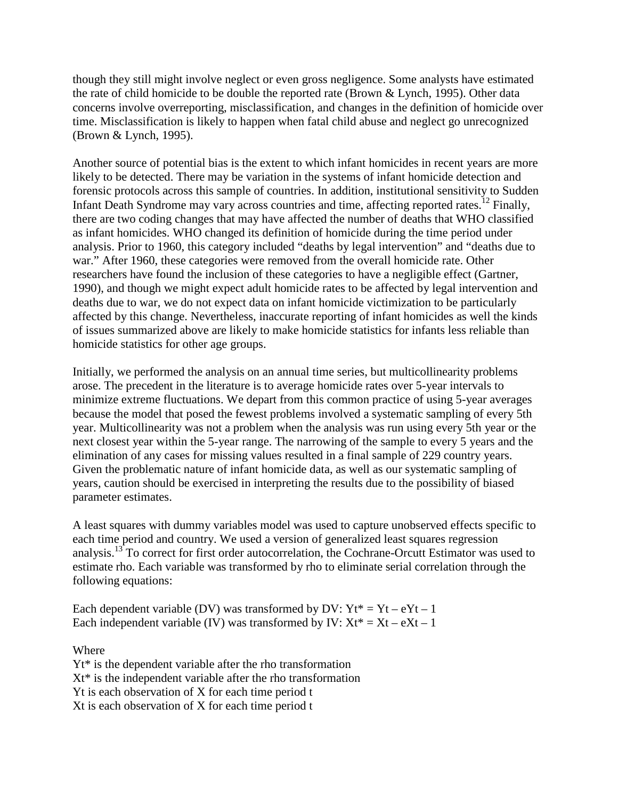though they still might involve neglect or even gross negligence. Some analysts have estimated the rate of child homicide to be double the reported rate (Brown & Lynch, 1995). Other data concerns involve overreporting, misclassification, and changes in the definition of homicide over time. Misclassification is likely to happen when fatal child abuse and neglect go unrecognized (Brown & Lynch, 1995).

Another source of potential bias is the extent to which infant homicides in recent years are more likely to be detected. There may be variation in the systems of infant homicide detection and forensic protocols across this sample of countries. In addition, institutional sensitivity to Sudden Infant Death Syndrome may vary across countries and time, affecting reported rates.<sup>12</sup> Finally, there are two coding changes that may have affected the number of deaths that WHO classified as infant homicides. WHO changed its definition of homicide during the time period under analysis. Prior to 1960, this category included "deaths by legal intervention" and "deaths due to war." After 1960, these categories were removed from the overall homicide rate. Other researchers have found the inclusion of these categories to have a negligible effect (Gartner, 1990), and though we might expect adult homicide rates to be affected by legal intervention and deaths due to war, we do not expect data on infant homicide victimization to be particularly affected by this change. Nevertheless, inaccurate reporting of infant homicides as well the kinds of issues summarized above are likely to make homicide statistics for infants less reliable than homicide statistics for other age groups.

Initially, we performed the analysis on an annual time series, but multicollinearity problems arose. The precedent in the literature is to average homicide rates over 5-year intervals to minimize extreme fluctuations. We depart from this common practice of using 5-year averages because the model that posed the fewest problems involved a systematic sampling of every 5th year. Multicollinearity was not a problem when the analysis was run using every 5th year or the next closest year within the 5-year range. The narrowing of the sample to every 5 years and the elimination of any cases for missing values resulted in a final sample of 229 country years. Given the problematic nature of infant homicide data, as well as our systematic sampling of years, caution should be exercised in interpreting the results due to the possibility of biased parameter estimates.

A least squares with dummy variables model was used to capture unobserved effects specific to each time period and country. We used a version of generalized least squares regression analysis.<sup>13</sup> To correct for first order autocorrelation, the Cochrane-Orcutt Estimator was used to estimate rho. Each variable was transformed by rho to eliminate serial correlation through the following equations:

Each dependent variable (DV) was transformed by DV:  $Yt^* = Yt - eYt - 1$ Each independent variable (IV) was transformed by IV:  $Xt^* = Xt - eXt - 1$ 

Where

Yt\* is the dependent variable after the rho transformation Xt\* is the independent variable after the rho transformation Yt is each observation of X for each time period t Xt is each observation of X for each time period t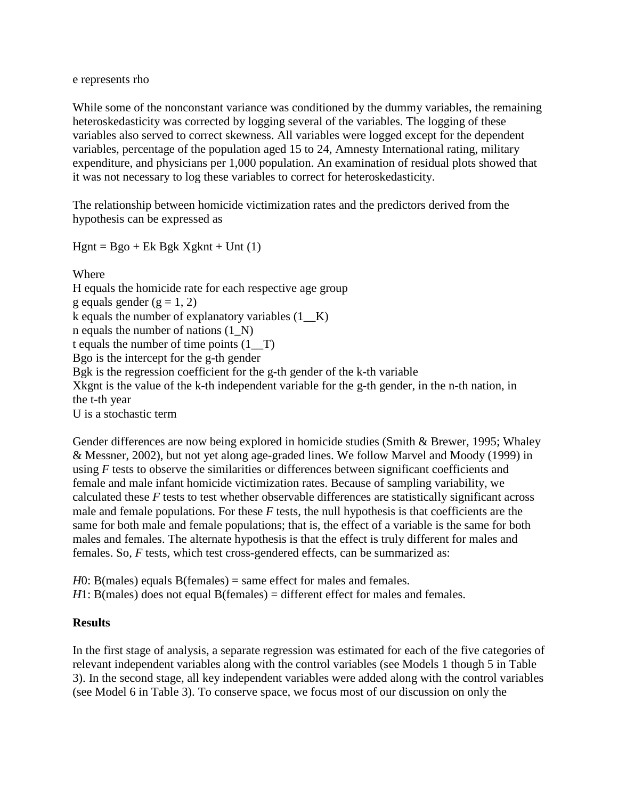e represents rho

While some of the nonconstant variance was conditioned by the dummy variables, the remaining heteroskedasticity was corrected by logging several of the variables. The logging of these variables also served to correct skewness. All variables were logged except for the dependent variables, percentage of the population aged 15 to 24, Amnesty International rating, military expenditure, and physicians per 1,000 population. An examination of residual plots showed that it was not necessary to log these variables to correct for heteroskedasticity.

The relationship between homicide victimization rates and the predictors derived from the hypothesis can be expressed as

 $Hgnt = Bgo + Ek Bgk Xgknt + Unt(1)$ 

Where

H equals the homicide rate for each respective age group g equals gender ( $g = 1, 2$ ) k equals the number of explanatory variables  $(1_K)$ n equals the number of nations (1\_N) t equals the number of time points  $(1_T)$ Bgo is the intercept for the g-th gender Bgk is the regression coefficient for the g-th gender of the k-th variable Xkgnt is the value of the k-th independent variable for the g-th gender, in the n-th nation, in the t-th year U is a stochastic term

Gender differences are now being explored in homicide studies (Smith & Brewer, 1995; Whaley & Messner, 2002), but not yet along age-graded lines. We follow Marvel and Moody (1999) in using *F* tests to observe the similarities or differences between significant coefficients and female and male infant homicide victimization rates. Because of sampling variability, we calculated these *F* tests to test whether observable differences are statistically significant across male and female populations. For these *F* tests, the null hypothesis is that coefficients are the same for both male and female populations; that is, the effect of a variable is the same for both males and females. The alternate hypothesis is that the effect is truly different for males and females. So, *F* tests, which test cross-gendered effects, can be summarized as:

*H*0: B(males) equals B(females) = same effect for males and females. *H*1: B(males) does not equal B(females) = different effect for males and females.

### **Results**

In the first stage of analysis, a separate regression was estimated for each of the five categories of relevant independent variables along with the control variables (see Models 1 though 5 in Table 3). In the second stage, all key independent variables were added along with the control variables (see Model 6 in Table 3). To conserve space, we focus most of our discussion on only the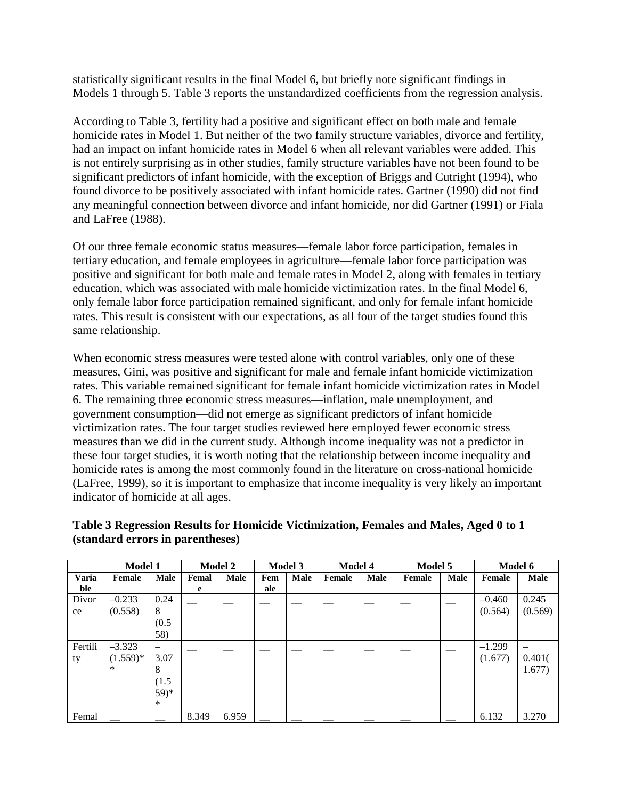statistically significant results in the final Model 6, but briefly note significant findings in Models 1 through 5. Table 3 reports the unstandardized coefficients from the regression analysis.

According to Table 3, fertility had a positive and significant effect on both male and female homicide rates in Model 1. But neither of the two family structure variables, divorce and fertility, had an impact on infant homicide rates in Model 6 when all relevant variables were added. This is not entirely surprising as in other studies, family structure variables have not been found to be significant predictors of infant homicide, with the exception of Briggs and Cutright (1994), who found divorce to be positively associated with infant homicide rates. Gartner (1990) did not find any meaningful connection between divorce and infant homicide, nor did Gartner (1991) or Fiala and LaFree (1988).

Of our three female economic status measures—female labor force participation, females in tertiary education, and female employees in agriculture—female labor force participation was positive and significant for both male and female rates in Model 2, along with females in tertiary education, which was associated with male homicide victimization rates. In the final Model 6, only female labor force participation remained significant, and only for female infant homicide rates. This result is consistent with our expectations, as all four of the target studies found this same relationship.

When economic stress measures were tested alone with control variables, only one of these measures, Gini, was positive and significant for male and female infant homicide victimization rates. This variable remained significant for female infant homicide victimization rates in Model 6. The remaining three economic stress measures—inflation, male unemployment, and government consumption—did not emerge as significant predictors of infant homicide victimization rates. The four target studies reviewed here employed fewer economic stress measures than we did in the current study. Although income inequality was not a predictor in these four target studies, it is worth noting that the relationship between income inequality and homicide rates is among the most commonly found in the literature on cross-national homicide (LaFree, 1999), so it is important to emphasize that income inequality is very likely an important indicator of homicide at all ages.

|              | <b>Model 1</b> |             |       | <b>Model 2</b><br>Model 3 |     | Model 4     |        | Model 5 |        | Model 6 |          |                          |
|--------------|----------------|-------------|-------|---------------------------|-----|-------------|--------|---------|--------|---------|----------|--------------------------|
| <b>Varia</b> | Female         | <b>Male</b> | Femal | Male                      | Fem | <b>Male</b> | Female | Male    | Female | Male    | Female   | Male                     |
| ble          |                |             | e     |                           | ale |             |        |         |        |         |          |                          |
| Divor        | $-0.233$       | 0.24        |       |                           |     |             |        |         |        |         | $-0.460$ | 0.245                    |
| ce           | (0.558)        | 8           |       |                           |     |             |        |         |        |         | (0.564)  | (0.569)                  |
|              |                | (0.5)       |       |                           |     |             |        |         |        |         |          |                          |
|              |                | 58)         |       |                           |     |             |        |         |        |         |          |                          |
| Fertili      | $-3.323$       |             |       |                           |     |             |        |         |        |         | $-1.299$ | $\overline{\phantom{0}}$ |
| ty           | $(1.559)*$     | 3.07        |       |                           |     |             |        |         |        |         | (1.677)  | 0.401(                   |
|              | $\ast$         | 8           |       |                           |     |             |        |         |        |         |          | 1.677)                   |
|              |                | (1.5)       |       |                           |     |             |        |         |        |         |          |                          |
|              |                | $59)*$      |       |                           |     |             |        |         |        |         |          |                          |
|              |                | $\ast$      |       |                           |     |             |        |         |        |         |          |                          |
| Femal        |                |             | 8.349 | 6.959                     |     |             |        |         |        |         | 6.132    | 3.270                    |

## **Table 3 Regression Results for Homicide Victimization, Females and Males, Aged 0 to 1 (standard errors in parentheses)**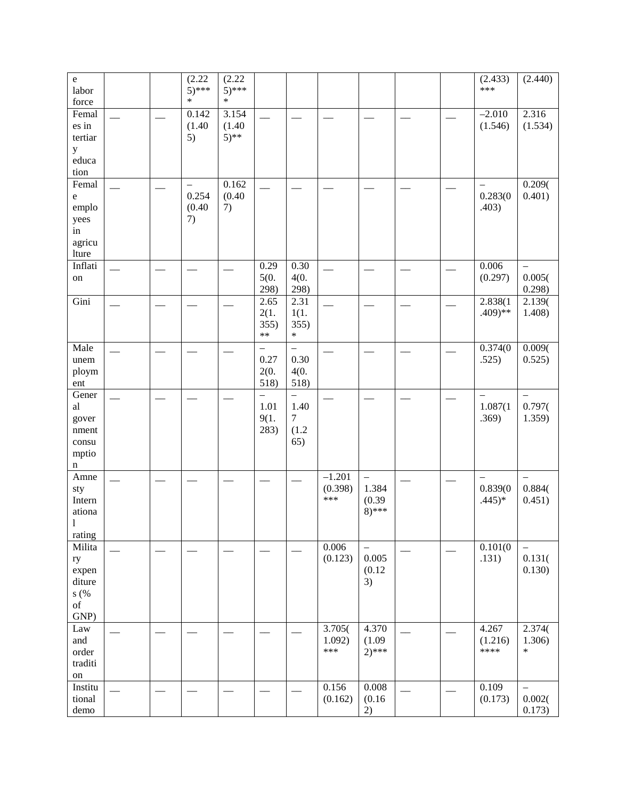| $\rm e$              |  | (2.22)                   | (2.22)            |                                  |                           |                  |                   |  | (2.433)<br>***           | (2.440)                       |
|----------------------|--|--------------------------|-------------------|----------------------------------|---------------------------|------------------|-------------------|--|--------------------------|-------------------------------|
| labor<br>force       |  | $5)***$<br>$\ast$        | $5)***$<br>$\ast$ |                                  |                           |                  |                   |  |                          |                               |
| Femal                |  | 0.142                    | 3.154             |                                  |                           |                  |                   |  | $-2.010$                 | 2.316                         |
| es in                |  | (1.40)                   | (1.40)            |                                  |                           |                  |                   |  | (1.546)                  | (1.534)                       |
| tertiar              |  | 5)                       | $5)$ **           |                                  |                           |                  |                   |  |                          |                               |
| $\mathbf y$<br>educa |  |                          |                   |                                  |                           |                  |                   |  |                          |                               |
| tion                 |  |                          |                   |                                  |                           |                  |                   |  |                          |                               |
| Femal                |  | $\overline{\phantom{0}}$ | 0.162             |                                  |                           |                  |                   |  | $\overline{\phantom{0}}$ | 0.209(                        |
| $\mathbf e$          |  | 0.254                    | (0.40)            |                                  |                           |                  |                   |  | 0.283(0)                 | 0.401)                        |
| emplo                |  | (0.40)                   | 7)                |                                  |                           |                  |                   |  | .403)                    |                               |
| yees<br>in           |  | 7)                       |                   |                                  |                           |                  |                   |  |                          |                               |
| agricu               |  |                          |                   |                                  |                           |                  |                   |  |                          |                               |
| lture                |  |                          |                   |                                  |                           |                  |                   |  |                          |                               |
| Inflati              |  |                          |                   | 0.29                             | 0.30                      |                  |                   |  | 0.006                    | $\overline{\phantom{0}}$      |
| on                   |  |                          |                   | 5(0.                             | 4(0.                      |                  |                   |  | (0.297)                  | 0.005(                        |
| Gini                 |  |                          |                   | 298)<br>2.65                     | 298)<br>2.31              |                  |                   |  | 2.838(1                  | 0.298)<br>2.139(              |
|                      |  |                          |                   | 2(1.                             | 1(1.                      |                  |                   |  | $.409$ <sup>**</sup>     | 1.408)                        |
|                      |  |                          |                   | 355)                             | 355)                      |                  |                   |  |                          |                               |
|                      |  |                          |                   | $\ast\ast$                       | $\ast$                    |                  |                   |  |                          |                               |
| Male<br>unem         |  |                          |                   | $\overline{\phantom{0}}$<br>0.27 | $\overline{a}$<br>0.30    |                  |                   |  | 0.374(0)                 | 0.009(                        |
| ploym                |  |                          |                   | 2(0.                             | 4(0.                      |                  |                   |  | .525)                    | 0.525)                        |
| ent                  |  |                          |                   | 518)                             | 518)                      |                  |                   |  |                          |                               |
| Gener                |  |                          |                   | $\overline{\phantom{0}}$         | $\overline{\phantom{0}}$  |                  |                   |  | $\equiv$                 | $\overline{\phantom{0}}$      |
| al                   |  |                          |                   | 1.01                             | 1.40                      |                  |                   |  | 1.087(1                  | 0.797(                        |
| gover<br>nment       |  |                          |                   | 9(1.<br>283)                     | $\boldsymbol{7}$<br>(1.2) |                  |                   |  | .369)                    | 1.359)                        |
| consu                |  |                          |                   |                                  | 65)                       |                  |                   |  |                          |                               |
| mptio                |  |                          |                   |                                  |                           |                  |                   |  |                          |                               |
| n                    |  |                          |                   |                                  |                           |                  |                   |  |                          |                               |
| Amne                 |  |                          |                   |                                  |                           | $-1.201$         | $\equiv$          |  |                          | $\overline{\phantom{0}}$      |
| sty<br>Intern        |  |                          |                   |                                  |                           | (0.398)<br>***   | 1.384<br>(0.39)   |  | 0.839(0<br>$.445)*$      | 0.884(<br>0.451)              |
| ationa               |  |                          |                   |                                  |                           |                  | $8)***$           |  |                          |                               |
| $\mathbf{1}$         |  |                          |                   |                                  |                           |                  |                   |  |                          |                               |
| rating               |  |                          |                   |                                  |                           |                  |                   |  |                          |                               |
| Milita               |  |                          |                   |                                  |                           | 0.006<br>(0.123) | $\equiv$<br>0.005 |  | 0.101(0)<br>.131)        | $\equiv$<br>0.131(            |
| ry<br>expen          |  |                          |                   |                                  |                           |                  | (0.12)            |  |                          | 0.130)                        |
| diture               |  |                          |                   |                                  |                           |                  | 3)                |  |                          |                               |
| s (%                 |  |                          |                   |                                  |                           |                  |                   |  |                          |                               |
| of                   |  |                          |                   |                                  |                           |                  |                   |  |                          |                               |
| GNP)<br>Law          |  |                          |                   |                                  |                           | 3.705(           | 4.370             |  | 4.267                    | 2.374(                        |
| and                  |  |                          |                   |                                  |                           | 1.092)           | (1.09)            |  | (1.216)                  | 1.306)                        |
| order                |  |                          |                   |                                  |                           | ***              | $2)***$           |  | ****                     | $\ast$                        |
| traditi              |  |                          |                   |                                  |                           |                  |                   |  |                          |                               |
| on                   |  |                          |                   |                                  |                           |                  |                   |  |                          |                               |
| Institu<br>tional    |  |                          | $\qquad \qquad$   | $\frac{1}{2}$                    |                           | 0.156<br>(0.162) | 0.008<br>(0.16)   |  | 0.109<br>(0.173)         | $\bar{\phantom{a}}$<br>0.002( |
| demo                 |  |                          |                   |                                  |                           |                  | 2)                |  |                          | 0.173)                        |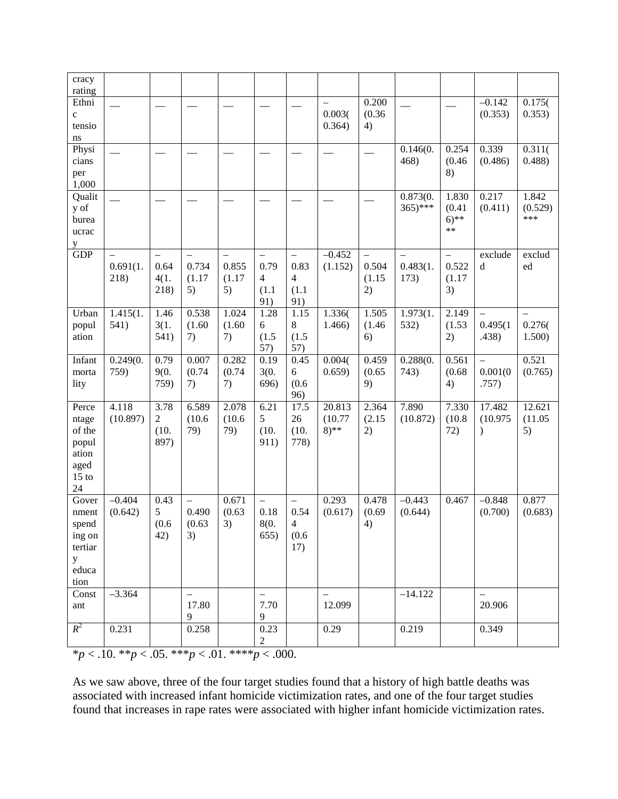| cracy<br>rating |                          |                          |                          |                          |                          |                          |                          |                          |                          |                          |                          |                   |
|-----------------|--------------------------|--------------------------|--------------------------|--------------------------|--------------------------|--------------------------|--------------------------|--------------------------|--------------------------|--------------------------|--------------------------|-------------------|
|                 |                          |                          |                          |                          |                          |                          |                          |                          |                          |                          |                          |                   |
| Ethni           |                          |                          |                          |                          |                          |                          | $\overline{\phantom{0}}$ | 0.200                    |                          |                          | $-0.142$                 | 0.175(            |
| $\mathbf c$     |                          |                          |                          |                          |                          |                          | 0.003(                   | (0.36)                   |                          |                          | (0.353)                  | 0.353)            |
| tensio          |                          |                          |                          |                          |                          |                          | 0.364)                   | 4)                       |                          |                          |                          |                   |
| ns              |                          |                          |                          |                          |                          |                          |                          |                          |                          |                          |                          |                   |
| Physi           |                          |                          |                          |                          |                          |                          |                          |                          | 0.146(0.                 | 0.254                    | 0.339                    | 0.311(            |
| cians           |                          |                          |                          |                          |                          |                          |                          |                          | 468)                     | (0.46)                   | (0.486)                  | 0.488             |
| per             |                          |                          |                          |                          |                          |                          |                          |                          |                          | 8)                       |                          |                   |
| 1,000           |                          |                          |                          |                          |                          |                          |                          |                          |                          |                          |                          |                   |
| Qualit          |                          |                          |                          |                          |                          |                          |                          |                          | $\overline{0.873(0.1)}$  | 1.830                    | 0.217                    | 1.842             |
| y of            |                          |                          |                          |                          |                          |                          |                          |                          | $365$ <sup>***</sup>     | (0.41)                   | (0.411)                  | (0.529)           |
| burea           |                          |                          |                          |                          |                          |                          |                          |                          |                          | $6)$ **                  |                          | ***               |
| ucrac           |                          |                          |                          |                          |                          |                          |                          |                          |                          | $***$                    |                          |                   |
| y               |                          |                          |                          |                          |                          |                          |                          |                          |                          |                          |                          |                   |
| GDP             | $\overline{\phantom{0}}$ | $\overline{\phantom{0}}$ | $\overline{\phantom{0}}$ | $\overline{\phantom{0}}$ | $\overline{\phantom{0}}$ | $\overline{\phantom{0}}$ | $-0.452$                 | $\overline{\phantom{0}}$ | $\overline{\phantom{0}}$ | $\overline{\phantom{0}}$ | exclude                  | exclud            |
|                 | 0.691(1.                 | 0.64                     | 0.734                    | 0.855                    | 0.79                     | 0.83                     | (1.152)                  | 0.504                    | 0.483(1.                 | 0.522                    | d                        | ed                |
|                 | 218)                     | 4(1.                     | (1.17)                   | (1.17)                   | 4                        | 4                        |                          | (1.15)                   | 173)                     | (1.17)                   |                          |                   |
|                 |                          | 218)                     | 5)                       | 5)                       | (1.1)                    | (1.1)                    |                          | 2)                       |                          | 3)                       |                          |                   |
|                 |                          |                          |                          |                          | 91)                      | 91)                      |                          |                          |                          |                          |                          |                   |
| Urban           | 1.415(1.                 | 1.46                     | 0.538                    | 1.024                    | 1.28                     | 1.15                     | 1.336(                   | 1.505                    | 1.973(1.                 | 2.149                    | $\equiv$                 | $\qquad \qquad -$ |
| popul           | 541)                     | 3(1.                     | (1.60)                   | (1.60)                   | 6                        | 8                        | 1.466)                   | (1.46)                   | 532)                     | (1.53)                   | 0.495(1)                 | 0.276(            |
| ation           |                          | 541)                     | 7)                       | 7)                       | (1.5)                    | (1.5)                    |                          | 6)                       |                          | 2)                       | .438)                    | 1.500)            |
|                 |                          |                          |                          |                          | 57)                      | 57)                      |                          |                          |                          |                          |                          |                   |
| Infant          | 0.249(0.                 | 0.79                     | 0.007                    | 0.282                    | 0.19                     | 0.45                     | 0.004(                   | 0.459                    | 0.288(0.                 | 0.561                    | $\overline{\phantom{0}}$ | 0.521             |
|                 |                          |                          | (0.74)                   | (0.74)                   |                          | 6                        | 0.659)                   |                          |                          | (0.68)                   | 0.001(0)                 |                   |
| morta           | 759)                     | 9(0.                     |                          |                          | 3(0.                     |                          |                          | (0.65)                   | 743)                     |                          |                          | (0.765)           |
| lity            |                          | 759)                     | 7)                       | 7)                       | 696)                     | (0.6)                    |                          | 9)                       |                          | 4)                       | .757)                    |                   |
|                 |                          |                          |                          |                          |                          | 96)                      |                          |                          |                          |                          |                          |                   |
| Perce           | 4.118                    | 3.78                     | 6.589                    | 2.078                    | 6.21                     | 17.5                     | 20.813                   | 2.364                    | 7.890                    | 7.330                    | 17.482                   | 12.621            |
| ntage           | (10.897)                 | $\overline{2}$           | (10.6)                   | (10.6)                   | 5                        | 26                       | (10.77)                  | (2.15)                   | (10.872)                 | (10.8)                   | (10.975)                 | (11.05)           |
| of the          |                          | (10.                     | 79)                      | 79)                      | (10.                     | (10.                     | $8)$ **                  | 2)                       |                          | 72)                      | $\lambda$                | 5)                |
| popul           |                          | 897)                     |                          |                          | 911)                     | 778)                     |                          |                          |                          |                          |                          |                   |
| ation           |                          |                          |                          |                          |                          |                          |                          |                          |                          |                          |                          |                   |
| aged            |                          |                          |                          |                          |                          |                          |                          |                          |                          |                          |                          |                   |
| $15$ to         |                          |                          |                          |                          |                          |                          |                          |                          |                          |                          |                          |                   |
| 24              |                          |                          |                          |                          |                          |                          |                          |                          |                          |                          |                          |                   |
| Gover           | $-0.404$                 | 0.43                     |                          | 0.671                    | $\overline{\phantom{0}}$ |                          | 0.293                    | 0.478                    | $-0.443$                 | 0.467                    | $-0.848$                 | 0.877             |
| nment           | (0.642)                  | 5                        | 0.490                    | (0.63)                   | 0.18                     | 0.54                     | (0.617)                  | (0.69)                   | (0.644)                  |                          | (0.700)                  | (0.683)           |
| spend           |                          | (0.6)                    | (0.63)                   | 3)                       | 8(0.                     | 4                        |                          | 4)                       |                          |                          |                          |                   |
| ing on          |                          | 42)                      | 3)                       |                          | 655)                     | (0.6)                    |                          |                          |                          |                          |                          |                   |
| tertiar         |                          |                          |                          |                          |                          | 17)                      |                          |                          |                          |                          |                          |                   |
| y               |                          |                          |                          |                          |                          |                          |                          |                          |                          |                          |                          |                   |
| educa           |                          |                          |                          |                          |                          |                          |                          |                          |                          |                          |                          |                   |
| tion            |                          |                          |                          |                          |                          |                          |                          |                          |                          |                          |                          |                   |
| Const           | $-3.364$                 |                          | $\qquad \qquad -$        |                          | $\overline{\phantom{0}}$ |                          | -                        |                          | $-14.122$                |                          |                          |                   |
| ant             |                          |                          | 17.80                    |                          | 7.70                     |                          | 12.099                   |                          |                          |                          | 20.906                   |                   |
|                 |                          |                          | 9                        |                          | 9                        |                          |                          |                          |                          |                          |                          |                   |
| $R^2$           | 0.231                    |                          | 0.258                    |                          | 0.23                     |                          | 0.29                     |                          | 0.219                    |                          | 0.349                    |                   |
|                 |                          |                          |                          |                          | 2                        |                          |                          |                          |                          |                          |                          |                   |
|                 |                          |                          |                          |                          |                          |                          |                          |                          |                          |                          |                          |                   |

\**p* < .10. \*\**p* < .05. \*\*\**p* < .01. \*\*\*\**p* < .000.

As we saw above, three of the four target studies found that a history of high battle deaths was associated with increased infant homicide victimization rates, and one of the four target studies found that increases in rape rates were associated with higher infant homicide victimization rates.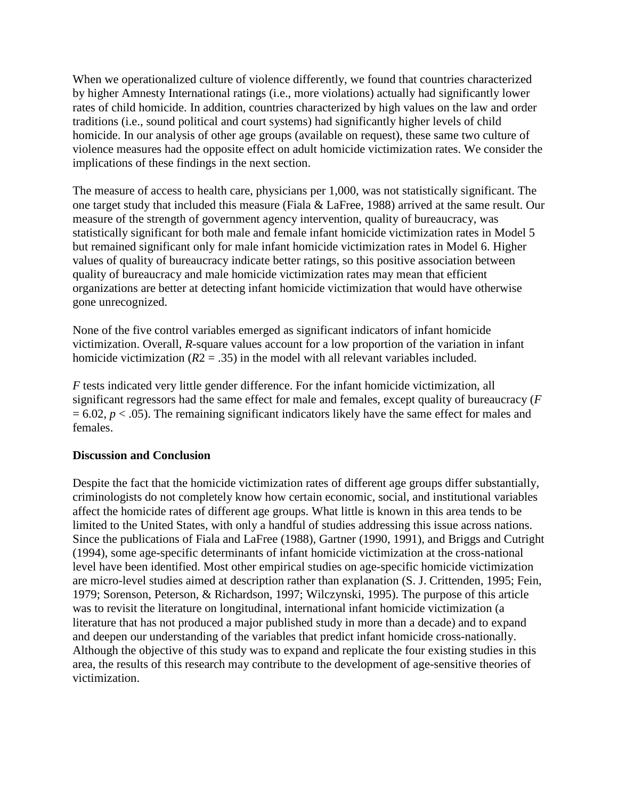When we operationalized culture of violence differently, we found that countries characterized by higher Amnesty International ratings (i.e., more violations) actually had significantly lower rates of child homicide. In addition, countries characterized by high values on the law and order traditions (i.e., sound political and court systems) had significantly higher levels of child homicide. In our analysis of other age groups (available on request), these same two culture of violence measures had the opposite effect on adult homicide victimization rates. We consider the implications of these findings in the next section.

The measure of access to health care, physicians per 1,000, was not statistically significant. The one target study that included this measure (Fiala & LaFree, 1988) arrived at the same result. Our measure of the strength of government agency intervention, quality of bureaucracy, was statistically significant for both male and female infant homicide victimization rates in Model 5 but remained significant only for male infant homicide victimization rates in Model 6. Higher values of quality of bureaucracy indicate better ratings, so this positive association between quality of bureaucracy and male homicide victimization rates may mean that efficient organizations are better at detecting infant homicide victimization that would have otherwise gone unrecognized.

None of the five control variables emerged as significant indicators of infant homicide victimization. Overall, *R*-square values account for a low proportion of the variation in infant homicide victimization  $(R2 = .35)$  in the model with all relevant variables included.

*F* tests indicated very little gender difference. For the infant homicide victimization, all significant regressors had the same effect for male and females, except quality of bureaucracy (*F*   $= 6.02$ ,  $p < .05$ ). The remaining significant indicators likely have the same effect for males and females.

### **Discussion and Conclusion**

Despite the fact that the homicide victimization rates of different age groups differ substantially, criminologists do not completely know how certain economic, social, and institutional variables affect the homicide rates of different age groups. What little is known in this area tends to be limited to the United States, with only a handful of studies addressing this issue across nations. Since the publications of Fiala and LaFree (1988), Gartner (1990, 1991), and Briggs and Cutright (1994), some age-specific determinants of infant homicide victimization at the cross-national level have been identified. Most other empirical studies on age-specific homicide victimization are micro-level studies aimed at description rather than explanation (S. J. Crittenden, 1995; Fein, 1979; Sorenson, Peterson, & Richardson, 1997; Wilczynski, 1995). The purpose of this article was to revisit the literature on longitudinal, international infant homicide victimization (a literature that has not produced a major published study in more than a decade) and to expand and deepen our understanding of the variables that predict infant homicide cross-nationally. Although the objective of this study was to expand and replicate the four existing studies in this area, the results of this research may contribute to the development of age-sensitive theories of victimization.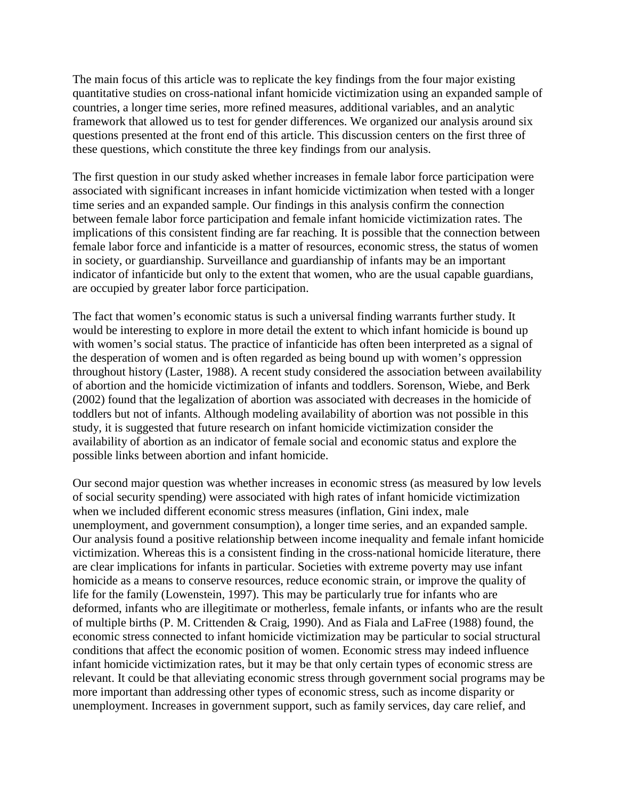The main focus of this article was to replicate the key findings from the four major existing quantitative studies on cross-national infant homicide victimization using an expanded sample of countries, a longer time series, more refined measures, additional variables, and an analytic framework that allowed us to test for gender differences. We organized our analysis around six questions presented at the front end of this article. This discussion centers on the first three of these questions, which constitute the three key findings from our analysis.

The first question in our study asked whether increases in female labor force participation were associated with significant increases in infant homicide victimization when tested with a longer time series and an expanded sample. Our findings in this analysis confirm the connection between female labor force participation and female infant homicide victimization rates. The implications of this consistent finding are far reaching. It is possible that the connection between female labor force and infanticide is a matter of resources, economic stress, the status of women in society, or guardianship. Surveillance and guardianship of infants may be an important indicator of infanticide but only to the extent that women, who are the usual capable guardians, are occupied by greater labor force participation.

The fact that women's economic status is such a universal finding warrants further study. It would be interesting to explore in more detail the extent to which infant homicide is bound up with women's social status. The practice of infanticide has often been interpreted as a signal of the desperation of women and is often regarded as being bound up with women's oppression throughout history (Laster, 1988). A recent study considered the association between availability of abortion and the homicide victimization of infants and toddlers. Sorenson, Wiebe, and Berk (2002) found that the legalization of abortion was associated with decreases in the homicide of toddlers but not of infants. Although modeling availability of abortion was not possible in this study, it is suggested that future research on infant homicide victimization consider the availability of abortion as an indicator of female social and economic status and explore the possible links between abortion and infant homicide.

Our second major question was whether increases in economic stress (as measured by low levels of social security spending) were associated with high rates of infant homicide victimization when we included different economic stress measures (inflation, Gini index, male unemployment, and government consumption), a longer time series, and an expanded sample. Our analysis found a positive relationship between income inequality and female infant homicide victimization. Whereas this is a consistent finding in the cross-national homicide literature, there are clear implications for infants in particular. Societies with extreme poverty may use infant homicide as a means to conserve resources, reduce economic strain, or improve the quality of life for the family (Lowenstein, 1997). This may be particularly true for infants who are deformed, infants who are illegitimate or motherless, female infants, or infants who are the result of multiple births (P. M. Crittenden & Craig, 1990). And as Fiala and LaFree (1988) found, the economic stress connected to infant homicide victimization may be particular to social structural conditions that affect the economic position of women. Economic stress may indeed influence infant homicide victimization rates, but it may be that only certain types of economic stress are relevant. It could be that alleviating economic stress through government social programs may be more important than addressing other types of economic stress, such as income disparity or unemployment. Increases in government support, such as family services, day care relief, and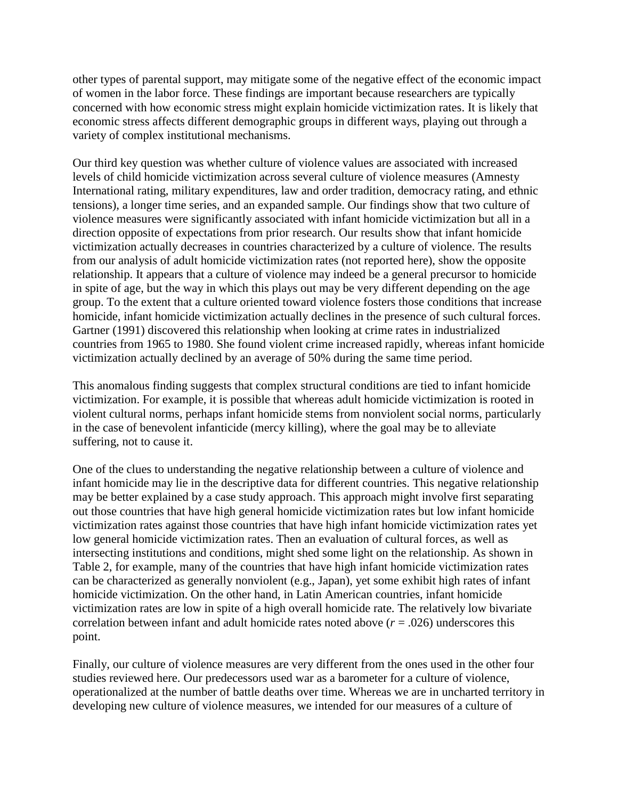other types of parental support, may mitigate some of the negative effect of the economic impact of women in the labor force. These findings are important because researchers are typically concerned with how economic stress might explain homicide victimization rates. It is likely that economic stress affects different demographic groups in different ways, playing out through a variety of complex institutional mechanisms.

Our third key question was whether culture of violence values are associated with increased levels of child homicide victimization across several culture of violence measures (Amnesty International rating, military expenditures, law and order tradition, democracy rating, and ethnic tensions), a longer time series, and an expanded sample. Our findings show that two culture of violence measures were significantly associated with infant homicide victimization but all in a direction opposite of expectations from prior research. Our results show that infant homicide victimization actually decreases in countries characterized by a culture of violence. The results from our analysis of adult homicide victimization rates (not reported here), show the opposite relationship. It appears that a culture of violence may indeed be a general precursor to homicide in spite of age, but the way in which this plays out may be very different depending on the age group. To the extent that a culture oriented toward violence fosters those conditions that increase homicide, infant homicide victimization actually declines in the presence of such cultural forces. Gartner (1991) discovered this relationship when looking at crime rates in industrialized countries from 1965 to 1980. She found violent crime increased rapidly, whereas infant homicide victimization actually declined by an average of 50% during the same time period.

This anomalous finding suggests that complex structural conditions are tied to infant homicide victimization. For example, it is possible that whereas adult homicide victimization is rooted in violent cultural norms, perhaps infant homicide stems from nonviolent social norms, particularly in the case of benevolent infanticide (mercy killing), where the goal may be to alleviate suffering, not to cause it.

One of the clues to understanding the negative relationship between a culture of violence and infant homicide may lie in the descriptive data for different countries. This negative relationship may be better explained by a case study approach. This approach might involve first separating out those countries that have high general homicide victimization rates but low infant homicide victimization rates against those countries that have high infant homicide victimization rates yet low general homicide victimization rates. Then an evaluation of cultural forces, as well as intersecting institutions and conditions, might shed some light on the relationship. As shown in Table 2, for example, many of the countries that have high infant homicide victimization rates can be characterized as generally nonviolent (e.g., Japan), yet some exhibit high rates of infant homicide victimization. On the other hand, in Latin American countries, infant homicide victimization rates are low in spite of a high overall homicide rate. The relatively low bivariate correlation between infant and adult homicide rates noted above  $(r = .026)$  underscores this point.

Finally, our culture of violence measures are very different from the ones used in the other four studies reviewed here. Our predecessors used war as a barometer for a culture of violence, operationalized at the number of battle deaths over time. Whereas we are in uncharted territory in developing new culture of violence measures, we intended for our measures of a culture of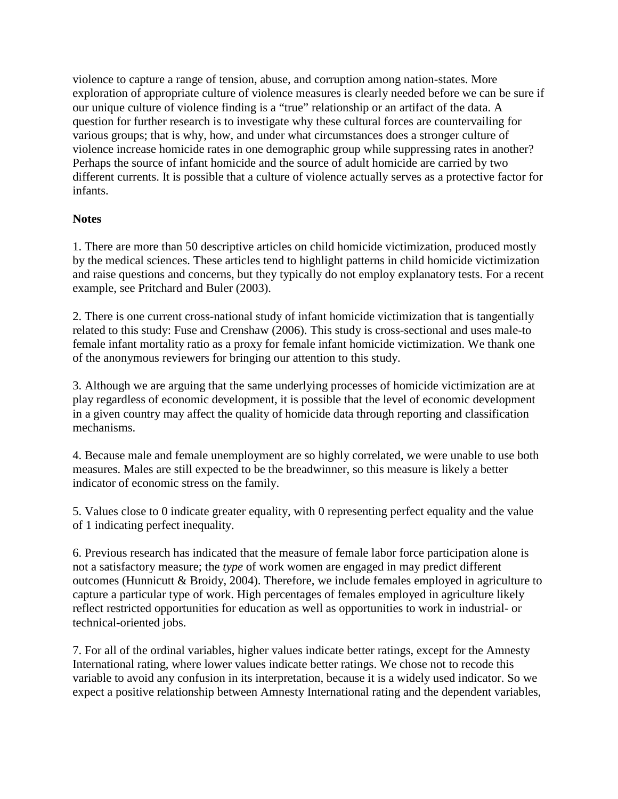violence to capture a range of tension, abuse, and corruption among nation-states. More exploration of appropriate culture of violence measures is clearly needed before we can be sure if our unique culture of violence finding is a "true" relationship or an artifact of the data. A question for further research is to investigate why these cultural forces are countervailing for various groups; that is why, how, and under what circumstances does a stronger culture of violence increase homicide rates in one demographic group while suppressing rates in another? Perhaps the source of infant homicide and the source of adult homicide are carried by two different currents. It is possible that a culture of violence actually serves as a protective factor for infants.

## **Notes**

1. There are more than 50 descriptive articles on child homicide victimization, produced mostly by the medical sciences. These articles tend to highlight patterns in child homicide victimization and raise questions and concerns, but they typically do not employ explanatory tests. For a recent example, see Pritchard and Buler (2003).

2. There is one current cross-national study of infant homicide victimization that is tangentially related to this study: Fuse and Crenshaw (2006). This study is cross-sectional and uses male-to female infant mortality ratio as a proxy for female infant homicide victimization. We thank one of the anonymous reviewers for bringing our attention to this study.

3. Although we are arguing that the same underlying processes of homicide victimization are at play regardless of economic development, it is possible that the level of economic development in a given country may affect the quality of homicide data through reporting and classification mechanisms.

4. Because male and female unemployment are so highly correlated, we were unable to use both measures. Males are still expected to be the breadwinner, so this measure is likely a better indicator of economic stress on the family.

5. Values close to 0 indicate greater equality, with 0 representing perfect equality and the value of 1 indicating perfect inequality.

6. Previous research has indicated that the measure of female labor force participation alone is not a satisfactory measure; the *type* of work women are engaged in may predict different outcomes (Hunnicutt & Broidy, 2004). Therefore, we include females employed in agriculture to capture a particular type of work. High percentages of females employed in agriculture likely reflect restricted opportunities for education as well as opportunities to work in industrial- or technical-oriented jobs.

7. For all of the ordinal variables, higher values indicate better ratings, except for the Amnesty International rating, where lower values indicate better ratings. We chose not to recode this variable to avoid any confusion in its interpretation, because it is a widely used indicator. So we expect a positive relationship between Amnesty International rating and the dependent variables,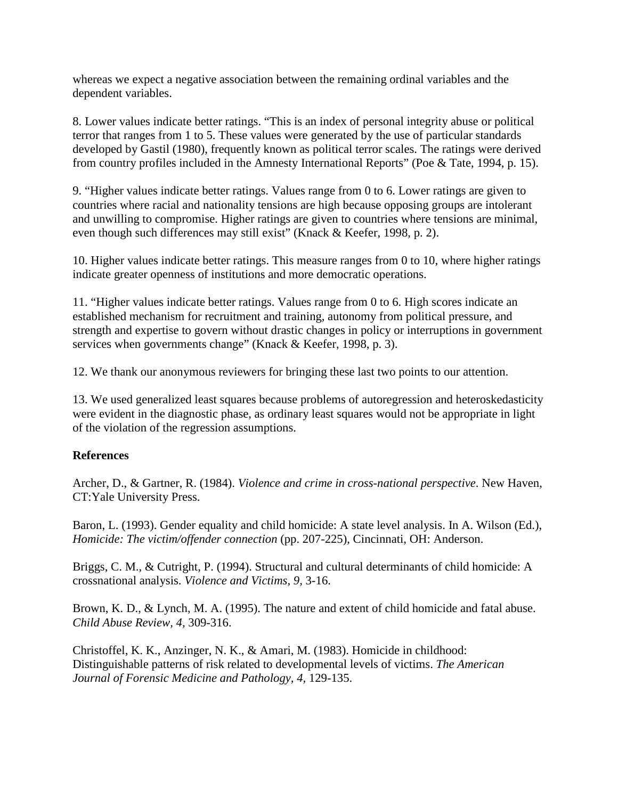whereas we expect a negative association between the remaining ordinal variables and the dependent variables.

8. Lower values indicate better ratings. "This is an index of personal integrity abuse or political terror that ranges from 1 to 5. These values were generated by the use of particular standards developed by Gastil (1980), frequently known as political terror scales. The ratings were derived from country profiles included in the Amnesty International Reports" (Poe & Tate, 1994, p. 15).

9. "Higher values indicate better ratings. Values range from 0 to 6. Lower ratings are given to countries where racial and nationality tensions are high because opposing groups are intolerant and unwilling to compromise. Higher ratings are given to countries where tensions are minimal, even though such differences may still exist" (Knack & Keefer, 1998, p. 2).

10. Higher values indicate better ratings. This measure ranges from 0 to 10, where higher ratings indicate greater openness of institutions and more democratic operations.

11. "Higher values indicate better ratings. Values range from 0 to 6. High scores indicate an established mechanism for recruitment and training, autonomy from political pressure, and strength and expertise to govern without drastic changes in policy or interruptions in government services when governments change" (Knack & Keefer, 1998, p. 3).

12. We thank our anonymous reviewers for bringing these last two points to our attention.

13. We used generalized least squares because problems of autoregression and heteroskedasticity were evident in the diagnostic phase, as ordinary least squares would not be appropriate in light of the violation of the regression assumptions.

### **References**

Archer, D., & Gartner, R. (1984). *Violence and crime in cross-national perspective*. New Haven, CT:Yale University Press.

Baron, L. (1993). Gender equality and child homicide: A state level analysis. In A. Wilson (Ed.), *Homicide: The victim/offender connection* (pp. 207-225), Cincinnati, OH: Anderson.

Briggs, C. M., & Cutright, P. (1994). Structural and cultural determinants of child homicide: A crossnational analysis. *Violence and Victims, 9,* 3-16.

Brown, K. D., & Lynch, M. A. (1995). The nature and extent of child homicide and fatal abuse. *Child Abuse Review, 4,* 309-316.

Christoffel, K. K., Anzinger, N. K., & Amari, M. (1983). Homicide in childhood: Distinguishable patterns of risk related to developmental levels of victims. *The American Journal of Forensic Medicine and Pathology, 4,* 129-135.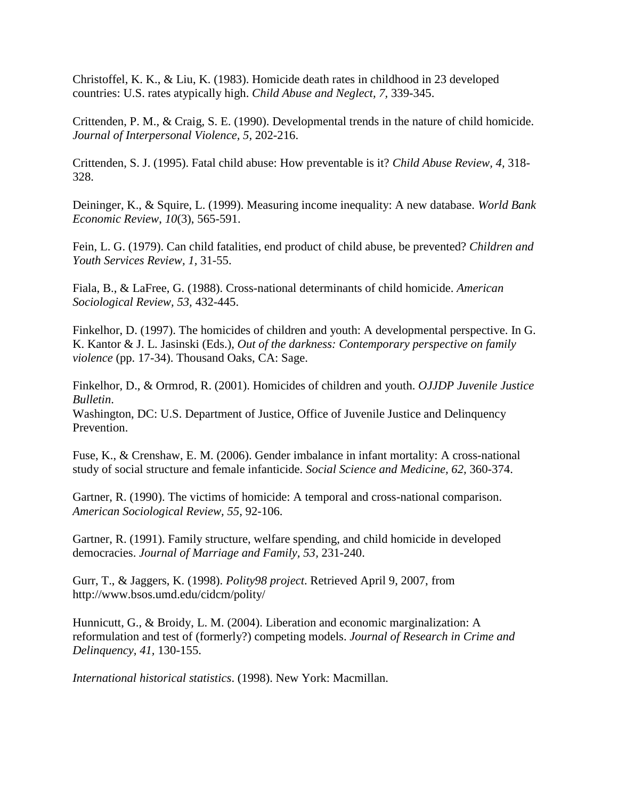Christoffel, K. K., & Liu, K. (1983). Homicide death rates in childhood in 23 developed countries: U.S. rates atypically high. *Child Abuse and Neglect, 7,* 339-345.

Crittenden, P. M., & Craig, S. E. (1990). Developmental trends in the nature of child homicide. *Journal of Interpersonal Violence, 5,* 202-216.

Crittenden, S. J. (1995). Fatal child abuse: How preventable is it? *Child Abuse Review, 4,* 318- 328.

Deininger, K., & Squire, L. (1999). Measuring income inequality: A new database. *World Bank Economic Review*, *10*(3), 565-591.

Fein, L. G. (1979). Can child fatalities, end product of child abuse, be prevented? *Children and Youth Services Review, 1,* 31-55.

Fiala, B., & LaFree, G. (1988). Cross-national determinants of child homicide. *American Sociological Review, 53,* 432-445.

Finkelhor, D. (1997). The homicides of children and youth: A developmental perspective. In G. K. Kantor & J. L. Jasinski (Eds.), *Out of the darkness: Contemporary perspective on family violence* (pp. 17-34). Thousand Oaks, CA: Sage.

Finkelhor, D., & Ormrod, R. (2001). Homicides of children and youth. *OJJDP Juvenile Justice Bulletin*.

Washington, DC: U.S. Department of Justice, Office of Juvenile Justice and Delinquency Prevention.

Fuse, K., & Crenshaw, E. M. (2006). Gender imbalance in infant mortality: A cross-national study of social structure and female infanticide. *Social Science and Medicine, 62,* 360-374.

Gartner, R. (1990). The victims of homicide: A temporal and cross-national comparison. *American Sociological Review, 55,* 92-106.

Gartner, R. (1991). Family structure, welfare spending, and child homicide in developed democracies. *Journal of Marriage and Family, 53,* 231-240.

Gurr, T., & Jaggers, K. (1998). *Polity98 project*. Retrieved April 9, 2007, from http://www.bsos.umd.edu/cidcm/polity/

Hunnicutt, G., & Broidy, L. M. (2004). Liberation and economic marginalization: A reformulation and test of (formerly?) competing models. *Journal of Research in Crime and Delinquency, 41,* 130-155.

*International historical statistics*. (1998). New York: Macmillan.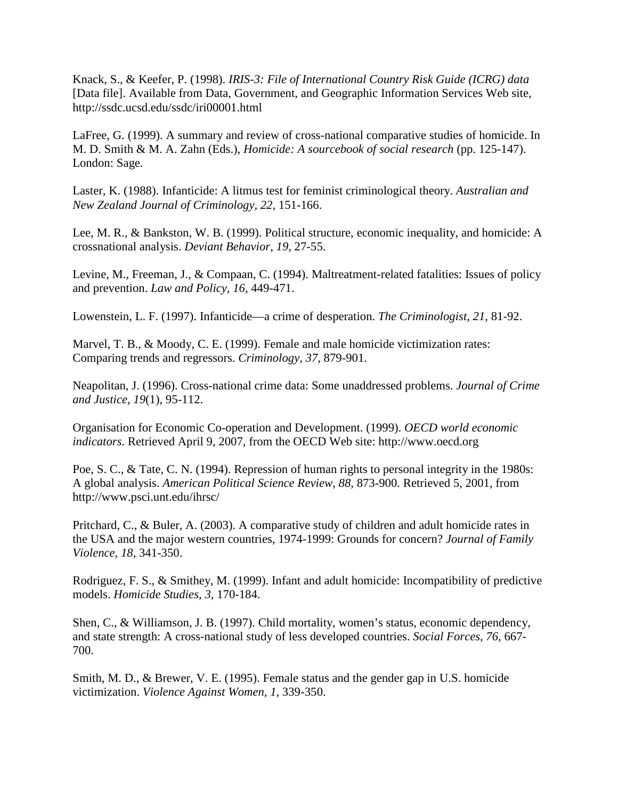Knack, S., & Keefer, P. (1998). *IRIS-3: File of International Country Risk Guide (ICRG) data*  [Data file]. Available from Data, Government, and Geographic Information Services Web site, http://ssdc.ucsd.edu/ssdc/iri00001.html

LaFree, G. (1999). A summary and review of cross-national comparative studies of homicide. In M. D. Smith & M. A. Zahn (Eds.), *Homicide: A sourcebook of social research* (pp. 125-147). London: Sage.

Laster, K. (1988). Infanticide: A litmus test for feminist criminological theory. *Australian and New Zealand Journal of Criminology, 22,* 151-166.

Lee, M. R., & Bankston, W. B. (1999). Political structure, economic inequality, and homicide: A crossnational analysis. *Deviant Behavior, 19,* 27-55.

Levine, M., Freeman, J., & Compaan, C. (1994). Maltreatment-related fatalities: Issues of policy and prevention. *Law and Policy, 16,* 449-471.

Lowenstein, L. F. (1997). Infanticide—a crime of desperation. *The Criminologist, 21,* 81-92.

Marvel, T. B., & Moody, C. E. (1999). Female and male homicide victimization rates: Comparing trends and regressors. *Criminology, 37,* 879-901.

Neapolitan, J. (1996). Cross-national crime data: Some unaddressed problems. *Journal of Crime and Justice, 19*(1), 95-112.

Organisation for Economic Co-operation and Development. (1999). *OECD world economic indicators*. Retrieved April 9, 2007, from the OECD Web site: http://www.oecd.org

Poe, S. C., & Tate, C. N. (1994). Repression of human rights to personal integrity in the 1980s: A global analysis. *American Political Science Review*, *88*, 873-900. Retrieved 5, 2001, from http://www.psci.unt.edu/ihrsc/

Pritchard, C., & Buler, A. (2003). A comparative study of children and adult homicide rates in the USA and the major western countries, 1974-1999: Grounds for concern? *Journal of Family Violence, 18,* 341-350.

Rodriguez, F. S., & Smithey, M. (1999). Infant and adult homicide: Incompatibility of predictive models. *Homicide Studies, 3*, 170-184.

Shen, C., & Williamson, J. B. (1997). Child mortality, women's status, economic dependency, and state strength: A cross-national study of less developed countries. *Social Forces, 76,* 667- 700.

Smith, M. D., & Brewer, V. E. (1995). Female status and the gender gap in U.S. homicide victimization. *Violence Against Women, 1*, 339-350.